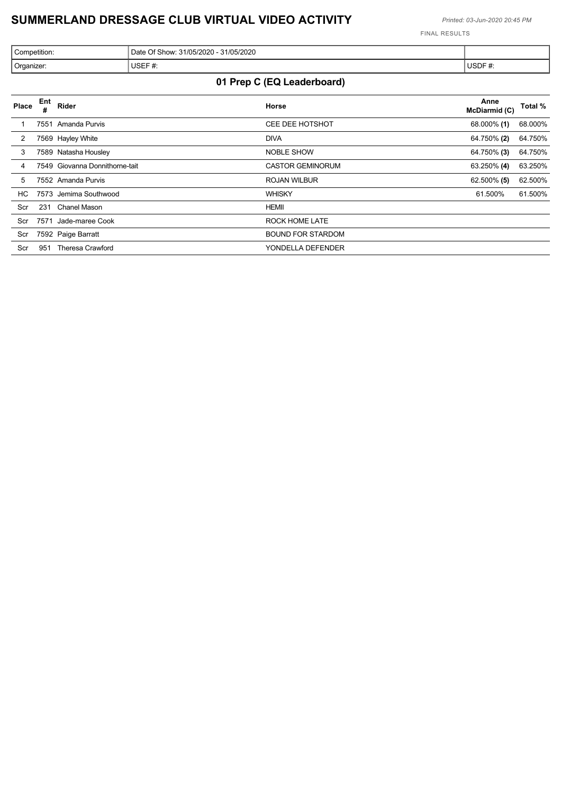٦

FINAL RESULTS

| Competition: | 31/05/2020<br>$-31/05/2020$<br>$\cap$ f $\cap$ '<br>Date<br>⊖f Show <sup>.</sup> |                   |
|--------------|----------------------------------------------------------------------------------|-------------------|
| Organizer:   | USEF#:<br>ำ ₩.                                                                   | <b>USDF</b><br>₩. |

## **01 Prep C (EQ Leaderboard)**

| Place | Ent  | Rider                          | Horse                    | Anne<br>McDiarmid (C) | Total % |
|-------|------|--------------------------------|--------------------------|-----------------------|---------|
|       |      | 7551 Amanda Purvis             | <b>CEE DEE HOTSHOT</b>   | 68.000% (1)           | 68.000% |
| 2     |      | 7569 Hayley White              | <b>DIVA</b>              | 64.750% (2)           | 64.750% |
| 3     |      | 7589 Natasha Housley           | <b>NOBLE SHOW</b>        | 64.750% (3)           | 64.750% |
| 4     |      | 7549 Giovanna Donnithorne-tait | <b>CASTOR GEMINORUM</b>  | 63.250% (4)           | 63.250% |
| 5     |      | 7552 Amanda Purvis             | <b>ROJAN WILBUR</b>      | 62.500% (5)           | 62.500% |
| HC.   |      | 7573 Jemima Southwood          | <b>WHISKY</b>            | 61.500%               | 61.500% |
| Scr   | 231  | Chanel Mason                   | <b>HEMII</b>             |                       |         |
| Scr   | 7571 | Jade-maree Cook                | <b>ROCK HOME LATE</b>    |                       |         |
| Scr   |      | 7592 Paige Barratt             | <b>BOUND FOR STARDOM</b> |                       |         |
| Scr   | 951  | <b>Theresa Crawford</b>        | YONDELLA DEFENDER        |                       |         |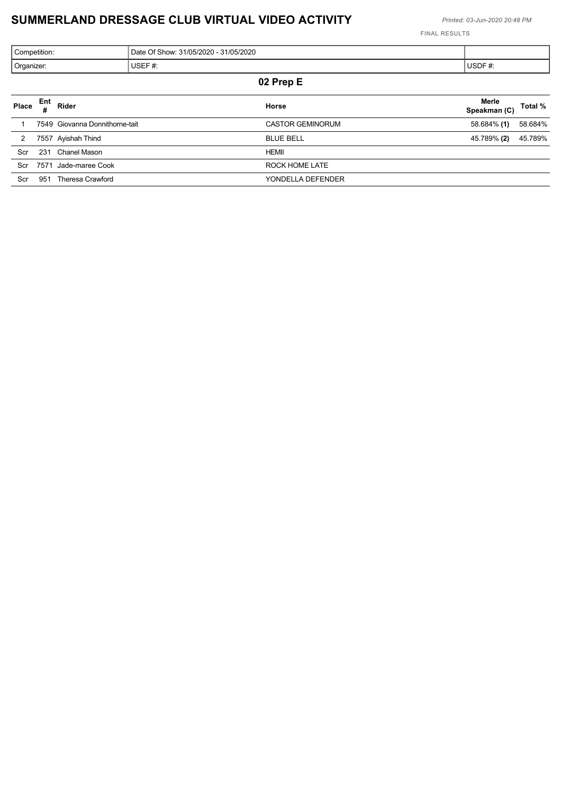|            | Competition: |                                | Date Of Show: 31/05/2020 - 31/05/2020 |                       |         |
|------------|--------------|--------------------------------|---------------------------------------|-----------------------|---------|
| Organizer: |              |                                | USEF $#$ :                            | USDF $#$ :            |         |
|            |              |                                | 02 Prep E                             |                       |         |
| Place      | Ent          | Rider                          | Horse                                 | Merle<br>Speakman (C) | Total % |
|            |              | 7549 Giovanna Donnithorne-tait | <b>CASTOR GEMINORUM</b>               | 58.684% (1)           | 58.684% |

|     | 7557 Ayishah Thind      | <b>BLUE BELL</b>  | 45.789% <b>(2)</b> | 45.789% |
|-----|-------------------------|-------------------|--------------------|---------|
| Scr | Chanel Mason<br>231     | HEMII             |                    |         |
| Scr | 7571<br>Jade-maree Cook | ROCK HOME LATE    |                    |         |
| Scr | Theresa Crawford<br>951 | YONDELLA DEFENDER |                    |         |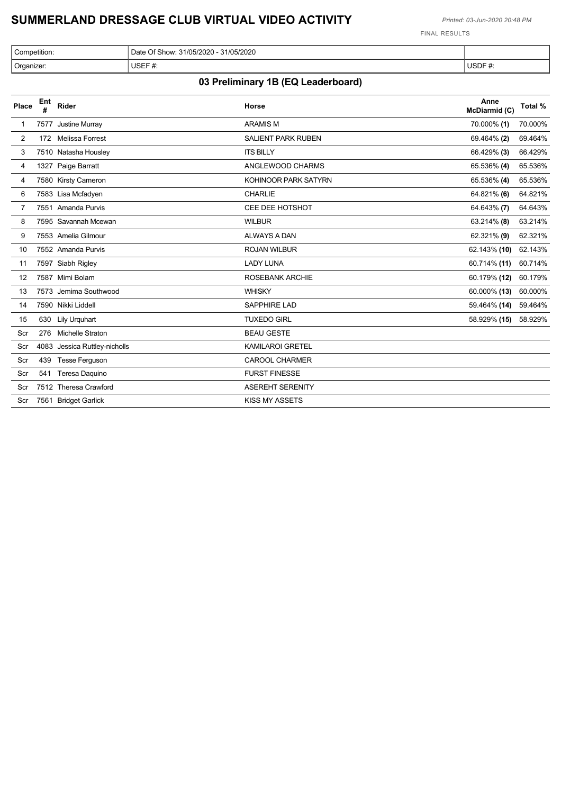FINAL RESULTS

| Competition:<br>Date Q | 31/05/2020<br>Of Show: 31/05/2020 - J |                    |
|------------------------|---------------------------------------|--------------------|
| USEF #:<br>Organizer:  | ₩.                                    | <b>USDE</b><br>שטי |

## **03 Preliminary 1B (EQ Leaderboard)**

| Place | Ent<br># | Rider                         | Horse                     | Anne<br>McDiarmid (C) | Total % |
|-------|----------|-------------------------------|---------------------------|-----------------------|---------|
|       |          | 7577 Justine Murray           | <b>ARAMISM</b>            | 70.000% (1)           | 70.000% |
| 2     |          | 172 Melissa Forrest           | <b>SALIENT PARK RUBEN</b> | 69.464% (2)           | 69.464% |
| 3     |          | 7510 Natasha Housley          | <b>ITS BILLY</b>          | 66.429% (3)           | 66.429% |
| 4     |          | 1327 Paige Barratt            | ANGLEWOOD CHARMS          | 65.536% (4)           | 65.536% |
| 4     |          | 7580 Kirsty Cameron           | KOHINOOR PARK SATYRN      | 65.536% (4)           | 65.536% |
| 6     |          | 7583 Lisa Mcfadyen            | <b>CHARLIE</b>            | 64.821% (6)           | 64.821% |
| 7     |          | 7551 Amanda Purvis            | CEE DEE HOTSHOT           | 64.643% (7)           | 64.643% |
| 8     |          | 7595 Savannah Mcewan          | <b>WILBUR</b>             | 63.214% (8)           | 63.214% |
| 9     |          | 7553 Amelia Gilmour           | <b>ALWAYS A DAN</b>       | 62.321% (9)           | 62.321% |
| 10    |          | 7552 Amanda Purvis            | <b>ROJAN WILBUR</b>       | 62.143% (10)          | 62.143% |
| 11    |          | 7597 Siabh Rigley             | <b>LADY LUNA</b>          | 60.714% (11)          | 60.714% |
| 12    |          | 7587 Mimi Bolam               | <b>ROSEBANK ARCHIE</b>    | 60.179% (12)          | 60.179% |
| 13    |          | 7573 Jemima Southwood         | <b>WHISKY</b>             | 60.000% (13)          | 60.000% |
| 14    |          | 7590 Nikki Liddell            | <b>SAPPHIRE LAD</b>       | 59.464% (14)          | 59.464% |
| 15    |          | 630 Lily Urquhart             | <b>TUXEDO GIRL</b>        | 58.929% (15)          | 58.929% |
| Scr   |          | 276 Michelle Straton          | <b>BEAU GESTE</b>         |                       |         |
| Scr   |          | 4083 Jessica Ruttley-nicholls | <b>KAMILAROI GRETEL</b>   |                       |         |
| Scr   |          | 439 Tesse Ferguson            | <b>CAROOL CHARMER</b>     |                       |         |
| Scr   |          | 541 Teresa Daquino            | <b>FURST FINESSE</b>      |                       |         |
| Scr   |          | 7512 Theresa Crawford         | <b>ASEREHT SERENITY</b>   |                       |         |
| Scr   |          | 7561 Bridget Garlick          | <b>KISS MY ASSETS</b>     |                       |         |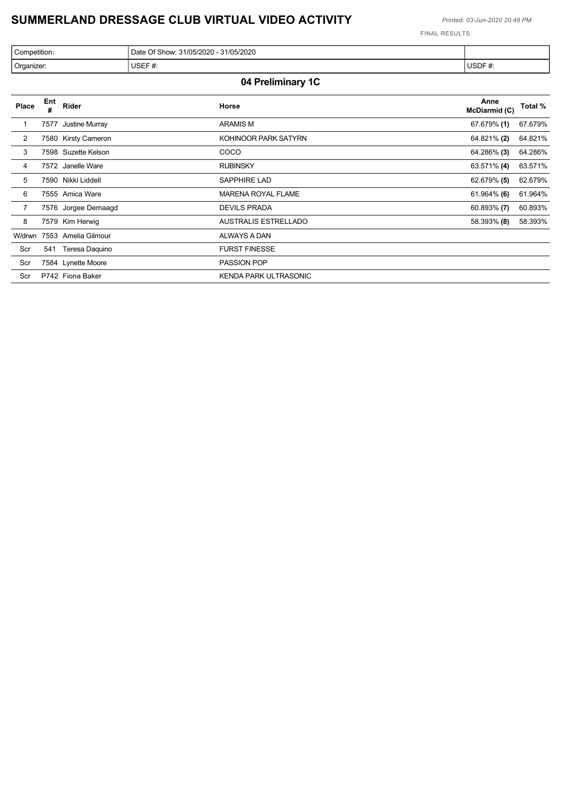$\overline{\phantom{a}}$ 

FINAL RESULTS

| Competition: | Date Of Show: 31/05/2020 - 31/05/2020 |             |
|--------------|---------------------------------------|-------------|
| Organizer:   | USEF#<br>ำ#.                          | USDF#<br>ж. |

### **04 Preliminary 1C**

| Place          | Ent<br># | Rider               | Horse                       | Anne<br>McDiarmid (C) | Total % |
|----------------|----------|---------------------|-----------------------------|-----------------------|---------|
|                | 7577     | Justine Murray      | <b>ARAMIS M</b>             | 67.679% (1)           | 67.679% |
| $\overline{2}$ |          | 7580 Kirsty Cameron | KOHINOOR PARK SATYRN        | 64.821% (2)           | 64.821% |
| 3              |          | 7598 Suzette Kelson | COCO                        | 64.286% (3)           | 64.286% |
| 4              |          | 7572 Janelle Ware   | <b>RUBINSKY</b>             | 63.571% (4)           | 63.571% |
| 5              |          | 7590 Nikki Liddell  | <b>SAPPHIRE LAD</b>         | 62.679% (5)           | 62.679% |
| 6              |          | 7555 Amica Ware     | <b>MARENA ROYAL FLAME</b>   | $61.964\%$ (6)        | 61.964% |
| $\overline{7}$ |          | 7576 Jorgee Demaagd | <b>DEVILS PRADA</b>         | $60.893\%$ (7)        | 60.893% |
| 8              |          | 7579 Kim Herwig     | <b>AUSTRALIS ESTRELLADO</b> | 58.393% (8)           | 58.393% |
| W/drwn         |          | 7553 Amelia Gilmour | ALWAYS A DAN                |                       |         |
| Scr            | 541      | Teresa Daquino      | <b>FURST FINESSE</b>        |                       |         |
| Scr            |          | 7584 Lynette Moore  | <b>PASSION POP</b>          |                       |         |
| Scr            |          | P742 Fiona Baker    | KENDA PARK ULTRASONIC       |                       |         |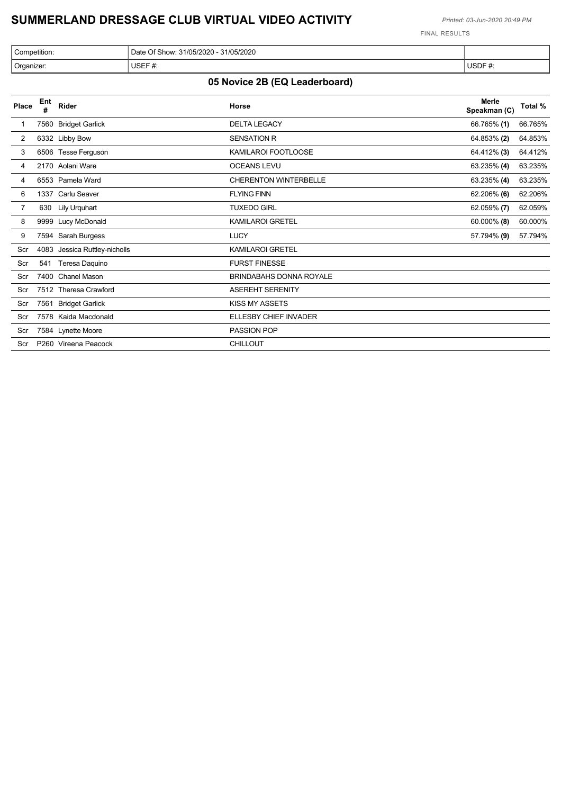FINAL RESULTS

| 31/05/2020<br>31/05/2020<br>Competition:<br>Date Of S<br>show. |                                     |                                     |
|----------------------------------------------------------------|-------------------------------------|-------------------------------------|
| Organizer:                                                     | <b>USEF</b><br>$\boldsymbol{\pi}$ . | <b>USDF</b><br>$\boldsymbol{\pi}$ . |

# **05 Novice 2B (EQ Leaderboard)**

| Place          | Ent<br># | Rider                         | Horse                          | <b>Merle</b><br>Speakman (C) | Total % |
|----------------|----------|-------------------------------|--------------------------------|------------------------------|---------|
|                | 7560     | <b>Bridget Garlick</b>        | <b>DELTA LEGACY</b>            | 66.765% (1)                  | 66.765% |
| $\overline{2}$ |          | 6332 Libby Bow                | <b>SENSATION R</b>             | 64.853% (2)                  | 64.853% |
| 3              |          | 6506 Tesse Ferguson           | KAMILAROI FOOTLOOSE            | 64.412% (3)                  | 64.412% |
| 4              |          | 2170 Aolani Ware              | <b>OCEANS LEVU</b>             | 63.235% (4)                  | 63.235% |
| 4              |          | 6553 Pamela Ward              | <b>CHERENTON WINTERBELLE</b>   | 63.235% (4)                  | 63.235% |
| 6              |          | 1337 Carlu Seaver             | <b>FLYING FINN</b>             | 62.206% (6)                  | 62.206% |
|                | 630      | Lily Urquhart                 | <b>TUXEDO GIRL</b>             | 62.059% (7)                  | 62.059% |
| 8              |          | 9999 Lucy McDonald            | <b>KAMILAROI GRETEL</b>        | 60.000% (8)                  | 60.000% |
| 9              |          | 7594 Sarah Burgess            | <b>LUCY</b>                    | 57.794% (9)                  | 57.794% |
| Scr            |          | 4083 Jessica Ruttley-nicholls | <b>KAMILAROI GRETEL</b>        |                              |         |
| Scr            | 541      | Teresa Daquino                | <b>FURST FINESSE</b>           |                              |         |
| Scr            | 7400     | <b>Chanel Mason</b>           | <b>BRINDABAHS DONNA ROYALE</b> |                              |         |
| Scr            |          | 7512 Theresa Crawford         | <b>ASEREHT SERENITY</b>        |                              |         |
| Scr            | 7561     | <b>Bridget Garlick</b>        | <b>KISS MY ASSETS</b>          |                              |         |
| Scr            |          | 7578 Kaida Macdonald          | ELLESBY CHIEF INVADER          |                              |         |
| Scr            |          | 7584 Lynette Moore            | PASSION POP                    |                              |         |
| Scr            |          | P260 Vireena Peacock          | <b>CHILLOUT</b>                |                              |         |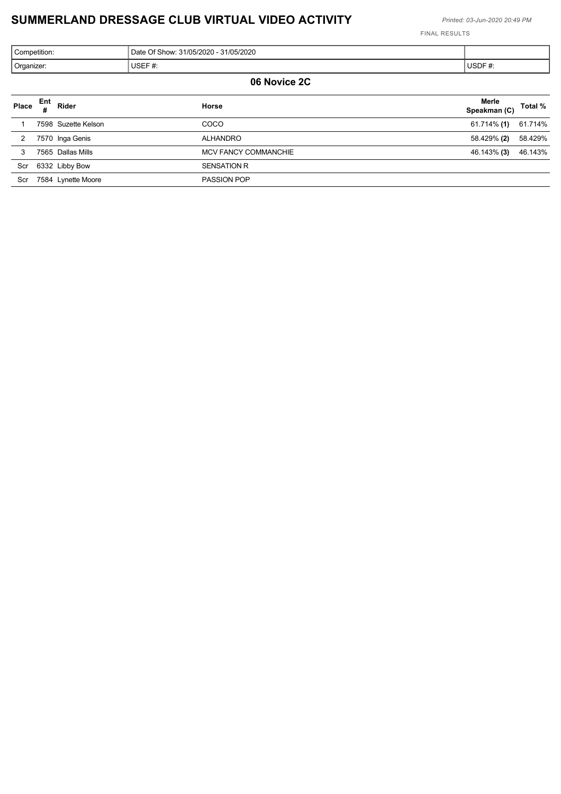| Competition: | Date Of Show: 31/05/2020 - 31/05/2020 |        |  |
|--------------|---------------------------------------|--------|--|
| Organizer:   | USEF $#$ :                            | USDF#: |  |
| 06 Novice 2C |                                       |        |  |

|       |     |                     | .                    |                       |         |
|-------|-----|---------------------|----------------------|-----------------------|---------|
| Place | Ent | Rider               | Horse                | Merle<br>Speakman (C) | Total % |
|       |     | 7598 Suzette Kelson | COCO                 | 61.714% (1)           | 61.714% |
| 2     |     | 7570 Inga Genis     | <b>ALHANDRO</b>      | 58.429% (2)           | 58.429% |
| 3     |     | 7565 Dallas Mills   | MCV FANCY COMMANCHIE | 46.143% (3)           | 46.143% |
|       |     | Scr 6332 Libby Bow  | <b>SENSATION R</b>   |                       |         |
| Scr   |     | 7584 Lynette Moore  | <b>PASSION POP</b>   |                       |         |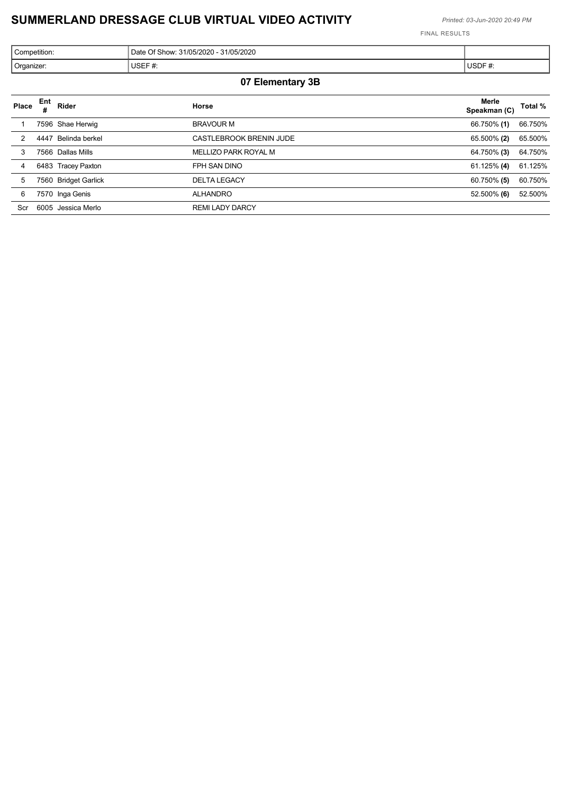FINAL RESULTS

| Competition: | 31/05/2020<br>0 - 31/05/2020<br>Date Of SI<br>show. |                         |
|--------------|-----------------------------------------------------|-------------------------|
| Organizer:   | <b>USEF</b><br>- <del>#</del> .                     | <b>USDF</b><br>π.<br>__ |

### **07 Elementary 3B**

| Place | <b>Ent</b> | Rider                | Horse                   | Merle<br>Speakman (C) | Total % |
|-------|------------|----------------------|-------------------------|-----------------------|---------|
|       |            | 7596 Shae Herwig     | <b>BRAVOUR M</b>        | 66.750% (1)           | 66.750% |
| 2     | 4447       | Belinda berkel       | CASTLEBROOK BRENIN JUDE | 65.500% (2)           | 65.500% |
| 3     |            | 7566 Dallas Mills    | MELLIZO PARK ROYAL M    | 64.750% (3)           | 64.750% |
| 4     |            | 6483 Tracey Paxton   | FPH SAN DINO            | 61.125% (4)           | 61.125% |
| 5     |            | 7560 Bridget Garlick | <b>DELTA LEGACY</b>     | 60.750% (5)           | 60.750% |
| 6     |            | 7570 Inga Genis      | <b>ALHANDRO</b>         | 52.500% (6)           | 52.500% |
| Scr   |            | 6005 Jessica Merlo   | <b>REMI LADY DARCY</b>  |                       |         |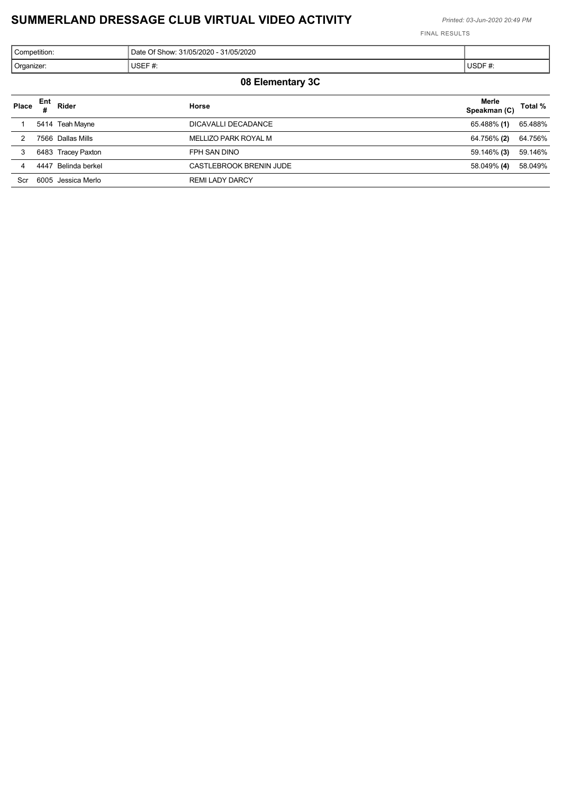FINAL RESULTS

| <sup>1</sup> Competition: | 31/05/2020<br>31/05/2020 - J<br>Date Of Show: |          |
|---------------------------|-----------------------------------------------|----------|
| Organizer:                | USEF#<br>₩.                                   | '∪SDF #: |

### **08 Elementary 3C**

| Place | Ent  | Rider              | Horse                   | Merle<br>Speakman (C) | Total % |
|-------|------|--------------------|-------------------------|-----------------------|---------|
|       |      | 5414 Teah Mayne    | DICAVALLI DECADANCE     | 65.488% (1)           | 65.488% |
|       |      | 7566 Dallas Mills  | MELLIZO PARK ROYAL M    | 64.756% (2)           | 64.756% |
| 3     |      | 6483 Tracey Paxton | FPH SAN DINO            | 59.146% (3)           | 59.146% |
| 4     | 4447 | Belinda berkel     | CASTLEBROOK BRENIN JUDE | 58.049% (4)           | 58.049% |
| Scr   |      | 6005 Jessica Merlo | <b>REMI LADY DARCY</b>  |                       |         |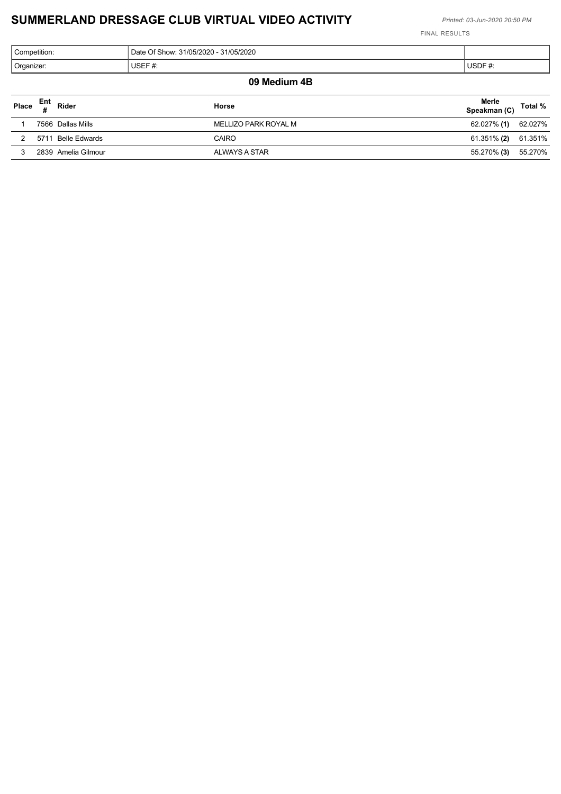| Competition:                                                       |        |        |  |  |
|--------------------------------------------------------------------|--------|--------|--|--|
| Organizer:                                                         | USEF#: | USDF#: |  |  |
| 09 Medium 4B                                                       |        |        |  |  |
| Merle<br>Speakman (C)<br>Ent<br>Rider<br>Total %<br>Place<br>Horse |        |        |  |  |
| $\sim$                                                             |        |        |  |  |

| 7566 Dallas Mills     | MELLIZO PARK ROYAL M | 62.027% (1)         | 62.027% |
|-----------------------|----------------------|---------------------|---------|
| Belle Edwards<br>5711 | CAIRO                | 61.351% (2) 61.351% |         |
| 2839 Amelia Gilmour   | ALWAYS A STAR        | 55.270% (3)         | 55.270% |